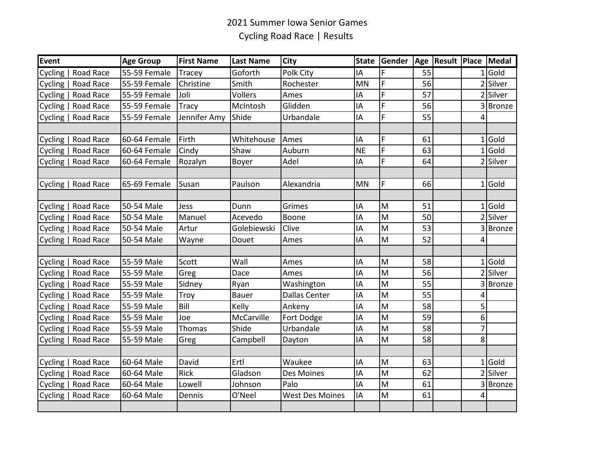## 2021 Summer Iowa Senior Games Cycling Road Race | Results

| <b>Event</b> |                     | <b>Age Group</b> | <b>First Name</b> | <b>Last Name</b> | <b>City</b>            | <b>State</b> | Gender |    | Age   Result   Place   Medal |                |           |
|--------------|---------------------|------------------|-------------------|------------------|------------------------|--------------|--------|----|------------------------------|----------------|-----------|
| Cycling      | Road Race           | 55-59 Female     | Tracey            | Goforth          | Polk City              | IA           | F      | 55 |                              |                | $1$ Gold  |
| Cycling      | Road Race           | 55-59 Female     | Christine         | Smith            | Rochester              | <b>MN</b>    | F      | 56 |                              |                | Silver    |
| Cycling      | Road Race           | 55-59 Female     | Joli              | Vollers          | Ames                   | IA           | F      | 57 |                              |                | 2 Silver  |
|              | Cycling   Road Race | 55-59 Female     | <b>Tracy</b>      | McIntosh         | Glidden                | IA           | F      | 56 |                              |                | 3 Bronze  |
|              | Cycling   Road Race | 55-59 Female     | Jennifer Amy      | Shide            | Urbandale              | IA           | F      | 55 |                              | 4              |           |
|              |                     |                  |                   |                  |                        |              |        |    |                              |                |           |
|              | Cycling   Road Race | 60-64 Female     | Firth             | Whitehouse       | Ames                   | IA           | F      | 61 |                              |                | $1$ Gold  |
| Cycling      | Road Race           | 60-64 Female     | Cindy             | Shaw             | Auburn                 | <b>NE</b>    | Ē      | 63 |                              |                | $1$ Gold  |
|              | Cycling   Road Race | 60-64 Female     | Rozalyn           | Boyer            | Adel                   | IA           | F      | 64 |                              |                | 2 Silver  |
|              |                     |                  |                   |                  |                        |              |        |    |                              |                |           |
|              | Cycling   Road Race | 65-69 Female     | Susan             | Paulson          | Alexandria             | <b>MN</b>    | F      | 66 |                              |                | $1 $ Gold |
|              |                     |                  |                   |                  |                        |              |        |    |                              |                |           |
|              | Cycling   Road Race | 50-54 Male       | Jess              | Dunn             | Grimes                 | IA           | M      | 51 |                              |                | $1$ Gold  |
| Cycling      | Road Race           | 50-54 Male       | Manuel            | Acevedo          | Boone                  | IA           | M      | 50 |                              |                | 2 Silver  |
| Cycling      | Road Race           | 50-54 Male       | Artur             | Golebiewski      | Clive                  | IA           | M      | 53 |                              |                | 3Bronze   |
|              | Cycling   Road Race | 50-54 Male       | Wayne             | Douet            | Ames                   | IA           | M      | 52 |                              | 4              |           |
|              |                     |                  |                   |                  |                        |              |        |    |                              |                |           |
|              | Cycling   Road Race | 55-59 Male       | Scott             | Wall             | Ames                   | IA           | M      | 58 |                              | 1              | LGold     |
| Cycling      | Road Race           | 55-59 Male       | Greg              | Dace             | Ames                   | IA           | M      | 56 |                              |                | 2 Silver  |
| Cycling      | Road Race           | 55-59 Male       | Sidney            | Ryan             | Washington             | IA           | M      | 55 |                              |                | 3 Bronze  |
| Cycling      | Road Race           | 55-59 Male       | Troy              | <b>Bauer</b>     | Dallas Center          | IA           | M      | 55 |                              | 4              |           |
| Cycling      | Road Race           | 55-59 Male       | Bill              | Kelly            | Ankeny                 | IA           | M      | 58 |                              | 5 <sup>1</sup> |           |
| Cycling      | Road Race           | 55-59 Male       | Joe               | McCarville       | Fort Dodge             | IA           | M      | 59 |                              | 6 <sup>1</sup> |           |
|              | Cycling   Road Race | 55-59 Male       | Thomas            | Shide            | Urbandale              | IA           | M      | 58 |                              | $\overline{7}$ |           |
|              | Cycling   Road Race | 55-59 Male       | Greg              | Campbell         | Dayton                 | IA           | M      | 58 |                              | 8 <sup>1</sup> |           |
|              |                     |                  |                   |                  |                        |              |        |    |                              |                |           |
|              | Cycling   Road Race | 60-64 Male       | David             | Ertl             | Waukee                 | IA           | M      | 63 |                              |                | $1 $ Gold |
| Cycling      | Road Race           | 60-64 Male       | Rick              | Gladson          | Des Moines             | IA           | M      | 62 |                              |                | 2 Silver  |
|              | Cycling   Road Race | 60-64 Male       | Lowell            | Johnson          | Palo                   | IA           | M      | 61 |                              |                | 3Bronze   |
|              | Cycling   Road Race | 60-64 Male       | Dennis            | O'Neel           | <b>West Des Moines</b> | IA           | M      | 61 |                              | 4              |           |
|              |                     |                  |                   |                  |                        |              |        |    |                              |                |           |